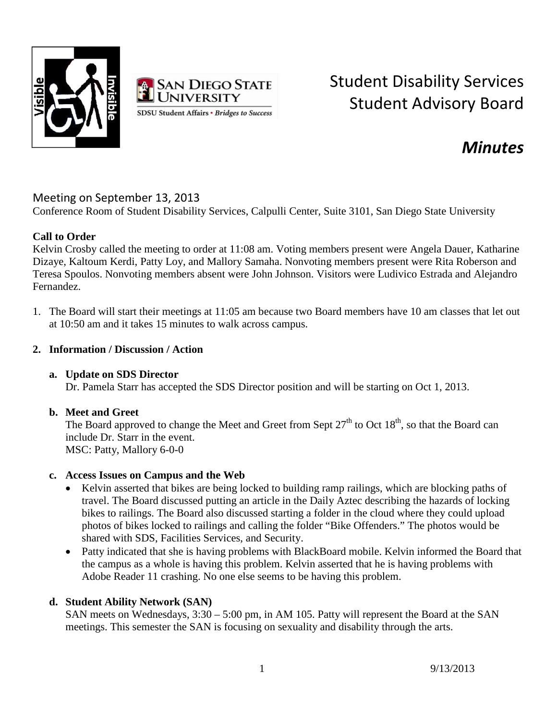



# Student Disability Services Student Advisory Board

# *Minutes*

## Meeting on September 13, 2013

Conference Room of Student Disability Services, Calpulli Center, Suite 3101, San Diego State University

#### **Call to Order**

Kelvin Crosby called the meeting to order at 11:08 am. Voting members present were Angela Dauer, Katharine Dizaye, Kaltoum Kerdi, Patty Loy, and Mallory Samaha. Nonvoting members present were Rita Roberson and Teresa Spoulos. Nonvoting members absent were John Johnson. Visitors were Ludivico Estrada and Alejandro Fernandez.

1. The Board will start their meetings at 11:05 am because two Board members have 10 am classes that let out at 10:50 am and it takes 15 minutes to walk across campus.

#### **2. Information / Discussion / Action**

#### **a. Update on SDS Director**

Dr. Pamela Starr has accepted the SDS Director position and will be starting on Oct 1, 2013.

#### **b. Meet and Greet**

The Board approved to change the Meet and Greet from Sept  $27<sup>th</sup>$  to Oct  $18<sup>th</sup>$ , so that the Board can include Dr. Starr in the event. MSC: Patty, Mallory 6-0-0

#### **c. Access Issues on Campus and the Web**

- Kelvin asserted that bikes are being locked to building ramp railings, which are blocking paths of travel. The Board discussed putting an article in the Daily Aztec describing the hazards of locking bikes to railings. The Board also discussed starting a folder in the cloud where they could upload photos of bikes locked to railings and calling the folder "Bike Offenders." The photos would be shared with SDS, Facilities Services, and Security.
- Patty indicated that she is having problems with BlackBoard mobile. Kelvin informed the Board that the campus as a whole is having this problem. Kelvin asserted that he is having problems with Adobe Reader 11 crashing. No one else seems to be having this problem.

### **d. Student Ability Network (SAN)**

SAN meets on Wednesdays, 3:30 – 5:00 pm, in AM 105. Patty will represent the Board at the SAN meetings. This semester the SAN is focusing on sexuality and disability through the arts.